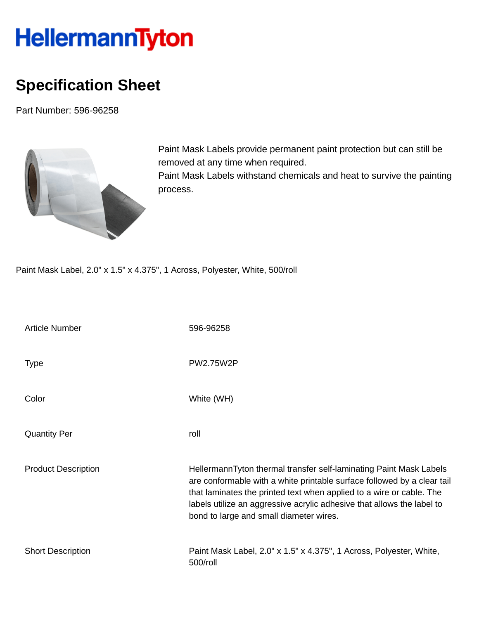## HellermannTyton

## **Specification Sheet**

Part Number: 596-96258



Paint Mask Labels provide permanent paint protection but can still be removed at any time when required. Paint Mask Labels withstand chemicals and heat to survive the painting process.

Paint Mask Label, 2.0" x 1.5" x 4.375", 1 Across, Polyester, White, 500/roll

| <b>Article Number</b>      | 596-96258                                                                                                                                                                                                                                                                                                                                  |
|----------------------------|--------------------------------------------------------------------------------------------------------------------------------------------------------------------------------------------------------------------------------------------------------------------------------------------------------------------------------------------|
| <b>Type</b>                | <b>PW2.75W2P</b>                                                                                                                                                                                                                                                                                                                           |
| Color                      | White (WH)                                                                                                                                                                                                                                                                                                                                 |
| <b>Quantity Per</b>        | roll                                                                                                                                                                                                                                                                                                                                       |
| <b>Product Description</b> | HellermannTyton thermal transfer self-laminating Paint Mask Labels<br>are conformable with a white printable surface followed by a clear tail<br>that laminates the printed text when applied to a wire or cable. The<br>labels utilize an aggressive acrylic adhesive that allows the label to<br>bond to large and small diameter wires. |
| <b>Short Description</b>   | Paint Mask Label, 2.0" x 1.5" x 4.375", 1 Across, Polyester, White,<br>500/roll                                                                                                                                                                                                                                                            |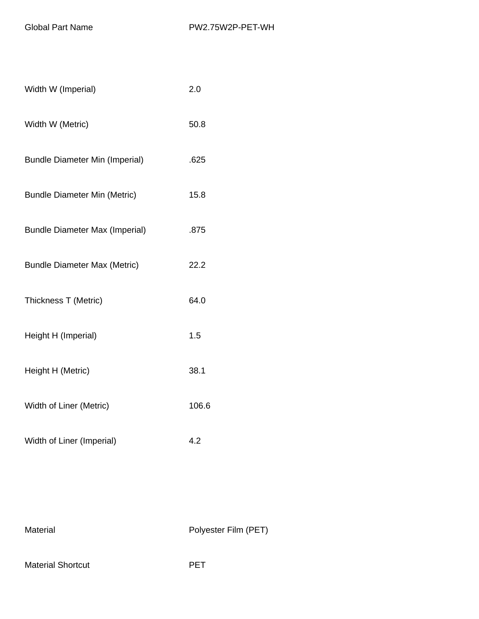| Width W (Imperial)                    | 2.0   |
|---------------------------------------|-------|
| Width W (Metric)                      | 50.8  |
| <b>Bundle Diameter Min (Imperial)</b> | .625  |
| <b>Bundle Diameter Min (Metric)</b>   | 15.8  |
| <b>Bundle Diameter Max (Imperial)</b> | .875  |
| <b>Bundle Diameter Max (Metric)</b>   | 22.2  |
| Thickness T (Metric)                  | 64.0  |
| Height H (Imperial)                   | 1.5   |
| Height H (Metric)                     | 38.1  |
| Width of Liner (Metric)               | 106.6 |
| Width of Liner (Imperial)             | 4.2   |

Material Material Polyester Film (PET)

Material Shortcut **PET**